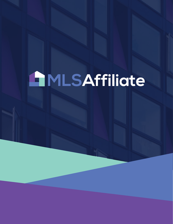# **AMLSAffiliate**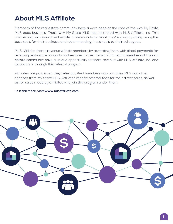# **About MLS Affiliate**

Members of the real estate community have always been at the core of the way My State MLS does business. That's why My State MLS has partnered with MLS Affiliate, Inc. This partnership will reward real estate professionals for what they're already doing: using the best tools for their business and recommending those tools to their colleagues.

MLS Affiliate shares revenue with its members by rewarding them with direct payments for referring real estate products and services to their network. Influential members of the real estate community have a unique opportunity to share revenue with MLS Affiliate, Inc. and its partners through this referral program.

Affiliates are paid when they refer qualified members who purchase MLS and other services from My State MLS. Affiliates receive referral fees for their direct sales, as well as for sales made by affiliates who join the program under them.

#### **To learn more, visit www.mlsaffiliate.com.**

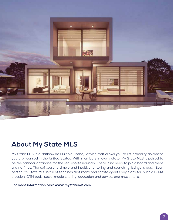

## **About My State MLS**

My State MLS is a Nationwide Multiple Listing Service that allows you to list property anywhere you are licensed in the United States. With members in every state, My State MLS is poised to be the national database for the real estate industry. There is no need to join a board and there are no fines. The software is simple and intuitive; entering and searching listings is easy. Even better, My State MLS is full of features that many real estate agents pay extra for, such as CMA creation, CRM tools, social media sharing, education and advice, and much more.

**For more information, visit www.mystatemls.com.**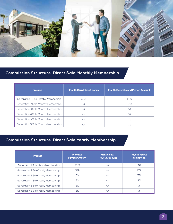

## **Commission Structure: Direct Sale Monthly Membership**

| <b>Product</b>                       | <b>Month 1 Quick Start Bonus</b> | Month 2 and Beyond Payout Amount |  |
|--------------------------------------|----------------------------------|----------------------------------|--|
| Generation 1 Sale Monthly Membership | 40%                              | 20%                              |  |
| Generation 2 Sale Monthly Membership | <b>NA</b>                        | 10%                              |  |
| Generation 3 Sale Monthly Membership | <b>NA</b>                        | 5%                               |  |
| Generation 4 Sale Monthly Membership | <b>NA</b>                        | 3%                               |  |
| Generation 5 Sale Monthly Membership | <b>NA</b>                        | 1%                               |  |
| Generation 6 Sale Monthly Membership | NА                               | 1%                               |  |

## **Commission Structure: Direct Sale Yearly Membership**

| <b>Product</b>                      | Month <sub>2</sub><br><b>Payout Amount</b> | <b>Month 3-12</b><br><b>Payout Amount</b> | <b>Payout Year 2</b><br>(If Renewed) |
|-------------------------------------|--------------------------------------------|-------------------------------------------|--------------------------------------|
| Generation 1 Sale Yearly Membership | 20%                                        | <b>NA</b>                                 | 20%                                  |
| Generation 2 Sale Yearly Membership | 10%                                        | <b>NA</b>                                 | 10%                                  |
| Generation 3 Sale Yearly Membership | 5%                                         | <b>NA</b>                                 | 5%                                   |
| Generation 4 Sale Yearly Membership | 3%                                         | <b>NA</b>                                 | 3%                                   |
| Generation 5 Sale Yearly Membership | 1%                                         | <b>NA</b>                                 | 1%                                   |
| Generation 6 Sale Yearly Membership | 1%                                         | NА                                        | 1%                                   |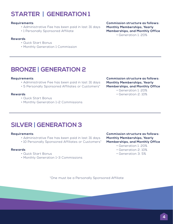# **STARTER | GENERATION 1**

#### **Requirements**

- Administrative Fee has been paid in last 31 days
- 1 Personally Sponsored Affiliate

#### **Rewards**

- Quick Start Bonus
- Monthly Generation 1 Commission

**Commission structure as follows: Monthly Memberships, Yearly Memberships, and Monthly Office** • Generation 1: 20%

## **BRONZE | GENERATION 2**

#### **Requirements**

- Administrative Fee has been paid in last 31 days
- 5 Personally Sponsored Affiliates or Customers\*

#### **Rewards**

- Quick Start Bonus
- Monthly Generation 1-2 Commissions

#### **Commission structure as follows: Monthly Memberships, Yearly Memberships, and Monthly Office**

- Generation 1: 20%
- Generation 2: 10%

## **SILVER | GENERATION 3**

#### **Requirements**

- Administrative Fee has been paid in last 31 days
- 10 Personally Sponsored Affiliates or Customers\*

#### **Rewards**

- Quick Start Bonus
- Monthly Generation 1-3 Commissions

**Commission structure as follows: Monthly Memberships, Yearly Memberships, and Monthly Office**

- Generation 1: 20%
- Generation 2: 10%
- Generation 3: 5%

\*One must be a Personally Sponsored Affiliate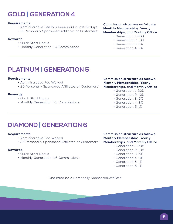## **GOLD | GENERATION 4**

#### **Requirements**

- Administrative Fee has been paid in last 31 days
- 15 Personally Sponsored Affiliates or Customers\*

#### **Rewards**

- Quick Start Bonus
- Monthly Generation 1-4 Commissions

**Commission structure as follows: Monthly Memberships, Yearly Memberships, and Monthly Office**

- Generation 1: 20%
- Generation 2: 10%
- Generation 3: 5%
- Generation 4: 3%

## **PLATINUM | GENERATION 5**

#### **Requirements**

- Administrative Fee Waived
- 20 Personally Sponsored Affiliates or Customers\*

#### **Rewards**

- Quick Start Bonus
- Monthly Generation 1-5 Commissions

#### **Commission structure as follows: Monthly Memberships, Yearly Memberships, and Monthly Office**

- Generation 1: 20%
- Generation 2: 10%
- Generation 3: 5%
- Generation 4: 3%
- Generation 5: 1%

## **DIAMOND | GENERATION 6**

#### **Requirements**

- Administrative Fee Waived
- 25 Personally Sponsored Affiliates or Customers\*

#### **Rewards**

- Quick Start Bonus
- Monthly Generation 1-6 Commissions

**Commission structure as follows: Monthly Memberships, Yearly Memberships, and Monthly Office**

- Generation 1: 20%
- Generation 2: 10%
- Generation 3: 5%
- Generation 4: 3%
- Generation 5: 1%
- Generation 6: 1%

\*One must be a Personally Sponsored Affiliate